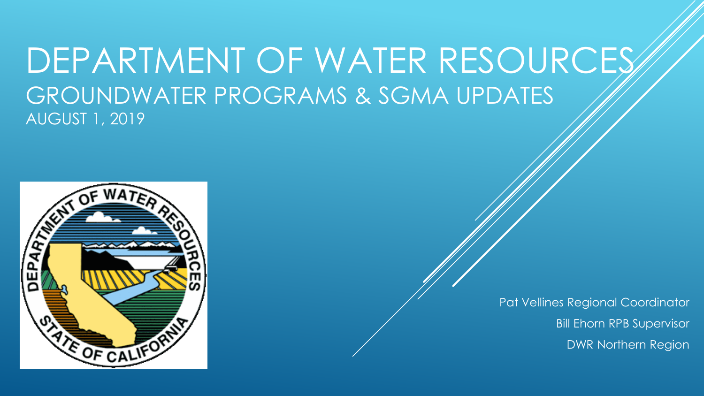# DEPARTMENT OF WATER RESOURCES GROUNDWATER PROGRAMS & SGMA UPDATES AUGUST 1, 2019



Pat Vellines Regional Coordinator Bill Ehorn RPB Supervisor DWR Northern Region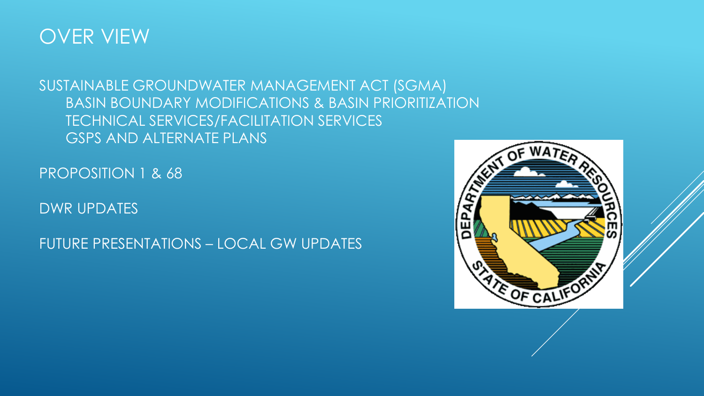

## SUSTAINABLE GROUNDWATER MANAGEMENT ACT (SGMA) BASIN BOUNDARY MODIFICATIONS & BASIN PRIORITIZATION TECHNICAL SERVICES/FACILITATION SERVICES GSPS AND ALTERNATE PLANS

PROPOSITION 1 & 68

DWR UPDATES

FUTURE PRESENTATIONS – LOCAL GW UPDATES

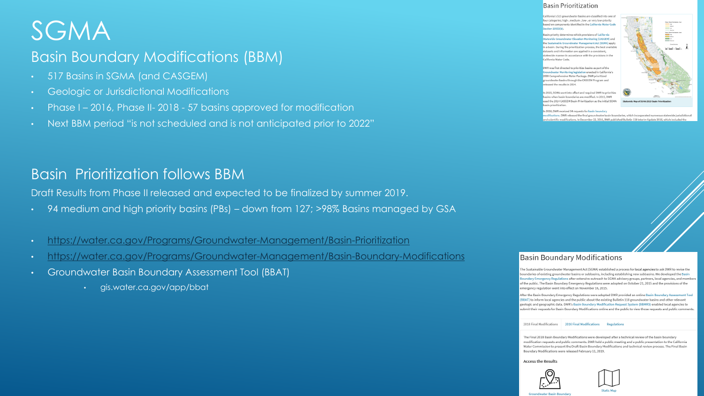# SGMA

## Basin Boundary Modifications (BBM)

- 517 Basins in SGMA (and CASGEM)
- Geologic or Jurisdictional Modifications
- Phase I 2016, Phase II- 2018 57 basins approved for modification
- Next BBM period "is not scheduled and is not anticipated prior to 2022"

## Basin Prioritization follows BBM

Draft Results from Phase II released and expected to be finalized by summer 2019.

- 94 medium and high priority basins (PBs) down from 127; >98% Basins managed by GSA
- <https://water.ca.gov/Programs/Groundwater-Management/Basin-Prioritization>
- <https://water.ca.gov/Programs/Groundwater-Management/Basin-Boundary-Modifications>
- Groundwater Basin Boundary Assessment Tool (BBAT)
	- gis.water.ca.gov/app/bbat

#### **Basin Prioritization**

California's 515 groundwater basins are classified into one o our categories; high-, medium-, low-, or very low-priority sed on components identified in the California Water Cod ection 10933(b).

asin priority determines which provisions of California **tatewide Groundwater Elevation Monitoring (CASGEM) and** the Sustainable Groundwater Management Act (SGMA) anniv in a basin. During the prioritization process, the best available latasets and information are applied in a consistent tewide manner in accordance with the provisions in th California Water Code.

DWR was first directed to prioritize basins as part of the iroundwater Monitoring legislation enacted in California's 2009 Comprehensive Water Package, DWR prioritized undwater basins through the CASGEM Program and eleased the results in 2014.

n 2015, SGMA went into effect and required DWR to prioritiz basins when basin boundaries are modified. In 2015, DWR ised the 2014 CASGEM Basin Prioritization as the initial SGMA hasin prioritization



#### n 2016, DWR received 54 requests for basin boundary

difications. DWR released the final groundwater basin boundaries, which incorporated numerous statewide jur and scientific modifications. In December 22, 2016, DWR nublished Bulletin 118 Interim Undate 2016, which included th

#### **Basin Boundary Modifications**

.<br>he Sustainable Groundwater Management Act (SGMA) established a process for local agencies to ask DWR to revise the boundaries of existing groundwater basins or subbasins, including establishing new subbasins. We developed the Basin loundary Emergency Regulations after extensive outreach to SGMA advisory groups, partners, local agencies, and members of the public. The Basin Boundary Emergency Regulations were adopted on October 21, 2015 and the provisions of the emergency regulation went into effect on November 16, 2015.

After the Basin Boundary Emergency Regulations were adopted DWR provided an online Basin Boundary Assessment Tool (BBAT) to inform local agencies and the public about the existing Bulletin 118 groundwater basins and other relevant .<br>geologic and geographic data. DWR's Basin Boundary Modification Request System (BBMRS) enabled local agencies to ubmit their requests for Basin Boundary Modifications online and the public to view those requests and public comments:

2018 Final Modifications 2016 Final Modifications Regulations

The Final 2018 Basin Boundary Modifications were developed after a technical review of the basin boundary modification requests and public comments. DWR held a public meeting and a public presentation to the California Water Commission to present the Draft Basin Boundary Modifications and technical review process. The Final Basin Boundary Modifications were released February 11, 2019.

**Access the Results** 



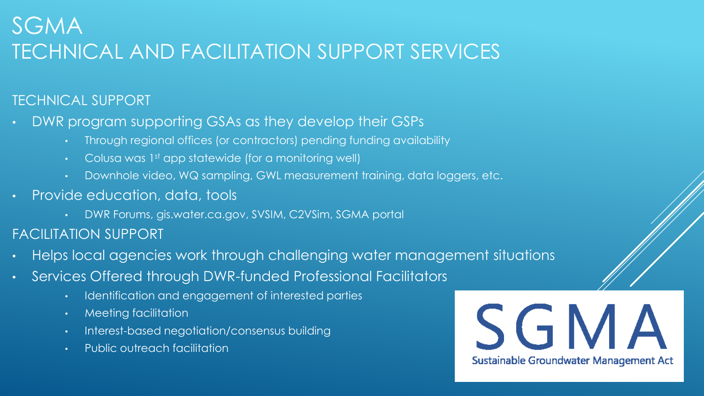## SGMA TECHNICAL AND FACILITATION SUPPORT SERVICES

## TECHNICAL SUPPORT

- DWR program supporting GSAs as they develop their GSPs
	- Through regional offices (or contractors) pending funding availability
	- Colusa was 1st app statewide (for a monitoring well)
	- Downhole video, WQ sampling, GWL measurement training, data loggers, etc.
- Provide education, data, tools
	- DWR Forums, gis.water.ca.gov, SVSIM, C2VSim, SGMA portal
- FACILITATION SUPPORT
- Helps local agencies work through challenging water management situations
- Services Offered through DWR-funded Professional Facilitators
	- Identification and engagement of interested parties
	- Meeting facilitation
	- Interest-based negotiation/consensus building
	- Public outreach facilitation

SGMA Sustainable Groundwater Management Act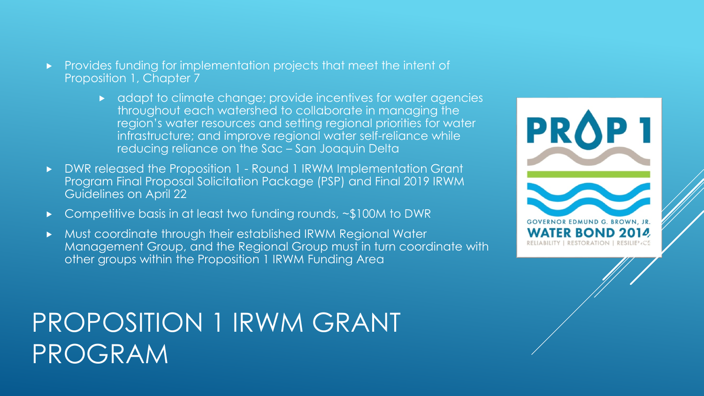- Provides funding for implementation projects that meet the intent of Proposition 1, Chapter 7
	- adapt to climate change; provide incentives for water agencies throughout each watershed to collaborate in managing the region's water resources and setting regional priorities for water infrastructure; and improve regional water self-reliance while reducing reliance on the Sac – San Joaquin Delta
- DWR released the Proposition 1 Round 1 IRWM Implementation Grant Program Final Proposal Solicitation Package (PSP) and Final 2019 IRWM Guidelines on April 22
- Competitive basis in at least two funding rounds, ~\$100M to DWR
- Must coordinate through their established IRWM Regional Water Management Group, and the Regional Group must in turn coordinate with other groups within the Proposition 1 IRWM Funding Area

# PROPOSITION 1 IRWM GRANT PROGRAM

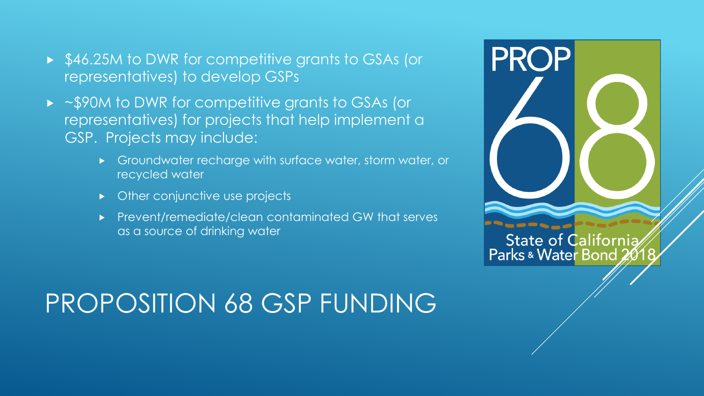- ▶ \$46.25M to DWR for competitive grants to GSAs (or representatives) to develop GSPs
- ~\$90M to DWR for competitive grants to GSAs (or representatives) for projects that help implement a GSP. Projects may include:
	- Groundwater recharge with surface water, storm water, or recycled water
	- Other conjunctive use projects
	- **Prevent/remediate/clean contaminated GW that serves** as a source of drinking water



**State of California** Parks & Water Bond 2018

# PROPOSITION 68 GSP FUNDING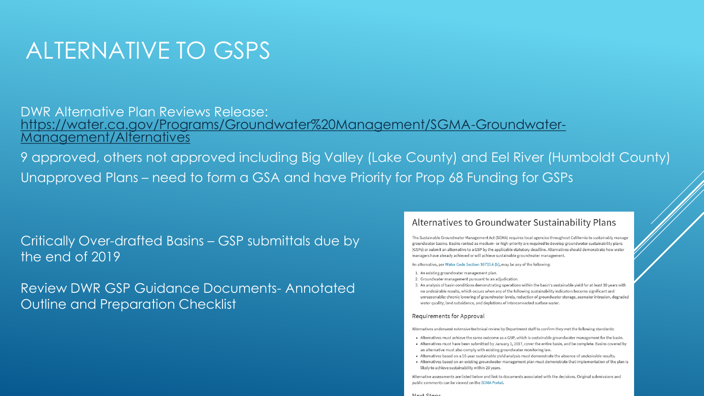# ALTERNATIVE TO GSPS

### DWR Alternative Plan Reviews Release: [https://water.ca.gov/Programs/Groundwater%20Management/SGMA-Groundwater-](https://water.ca.gov/Programs/Groundwater%20Management/SGMA-Groundwater-Management/Alternatives)Management/Alternatives

9 approved, others not approved including Big Valley (Lake County) and Eel River (Humboldt County) Unapproved Plans – need to form a GSA and have Priority for Prop 68 Funding for GSPs

Critically Over-drafted Basins – GSP submittals due by the end of 2019

Review DWR GSP Guidance Documents- Annotated Outline and Preparation Checklist

#### Alternatives to Groundwater Sustainability Plans

The Sustainable Groundwater Management Act (SGMA) requires local agencies throughout California to sustainably manage groundwater basins. Basins ranked as medium- or high-priority are required to develop groundwater sustainability plans (GSPs) or submit an alternative to a GSP by the applicable statutory deadline. Alternatives should demonstrate how water managers have already achieved or will achieve sustainable groundwater management.

#### An alternative, per Water Code Section 10733.6 (b), may be any of the following

- 1. An existing groundwater management plan.
- 2. Groundwater management pursuant to an adjudication.
- 3. An analysis of basin conditions demonstrating operations within the basin's sustainable yield for at least 10 years with no undesirable results, which occurs when any of the following sustainability indicators become significant and unreasonable: chronic lowering of groundwater levels, reduction of groundwater storage, seawater intrusion, degraded water quality, land subsidence, and depletions of interconnected surface water.

#### Requirements for Approval

Alternatives underwent extensive technical review by Department staff to confirm they met the following standards:

- . Alternatives must achieve the same outcome as a GSP, which is sustainable groundwater management for the basin.
- . Alternatives must have been submitted by January 1, 2017, cover the entire basin, and be complete. Basins covered by an alternative must also comply with existing groundwater monitoring law.
- . Alternatives based on a 10-year sustainable yield analysis must demonstrate the absence of undesirable results.
- . Alternatives based on an existing groundwater management plan must demonstrate that implementation of the plan is likely to achieve sustainability within 20 years.

Alternative assessments are listed below and link to documents associated with the decisions. Original submissions and public comments can be viewed on the SGMA Portal

#### Novt Ctope